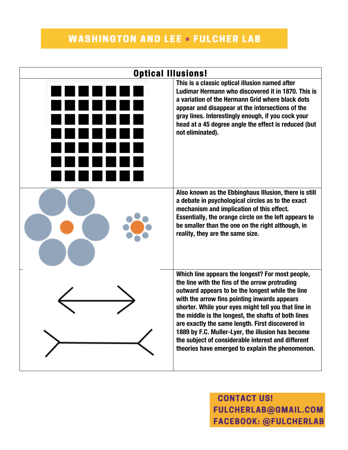## **WASHINGTON AND LEE FULCHER LAB**



**CONTACT US! FULCHERLAB@GMAIL.COM FACEBOOK: @FULCHERLAB**